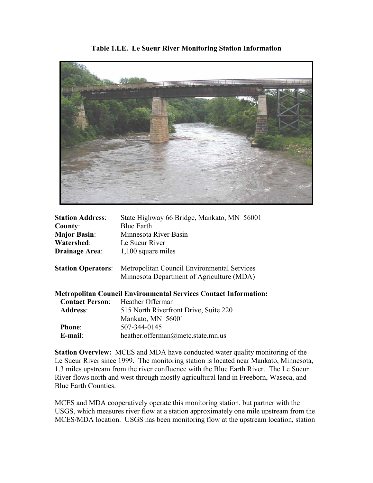

**Table 1.LE. Le Sueur River Monitoring Station Information**

| <b>Station Address:</b> | State Highway 66 Bridge, Mankato, MN 56001                            |
|-------------------------|-----------------------------------------------------------------------|
| County:                 | <b>Blue Earth</b>                                                     |
| <b>Major Basin:</b>     | Minnesota River Basin                                                 |
| Watershed:              | Le Sueur River                                                        |
| <b>Drainage Area:</b>   | 1,100 square miles                                                    |
|                         | <b>Station Operators:</b> Metropolitan Council Environmental Services |

**Station Operators**: Metropolitan Council Environmental Services Minnesota Department of Agriculture (MDA)

**Metropolitan Council Environmental Services Contact Information:**

| <b>Contact Person:</b> | Heather Offerman                      |
|------------------------|---------------------------------------|
| <b>Address:</b>        | 515 North Riverfront Drive, Suite 220 |
|                        | Mankato, MN 56001                     |
| <b>Phone:</b>          | 507-344-0145                          |
| $E$ -mail:             | heather.offerman@metc.state.mn.us     |

**Station Overview:** MCES and MDA have conducted water quality monitoring of the Le Sueur River since 1999. The monitoring station is located near Mankato, Minnesota, 1.3 miles upstream from the river confluence with the Blue Earth River. The Le Sueur River flows north and west through mostly agricultural land in Freeborn, Waseca, and Blue Earth Counties.

MCES and MDA cooperatively operate this monitoring station, but partner with the USGS, which measures river flow at a station approximately one mile upstream from the MCES/MDA location. USGS has been monitoring flow at the upstream location, station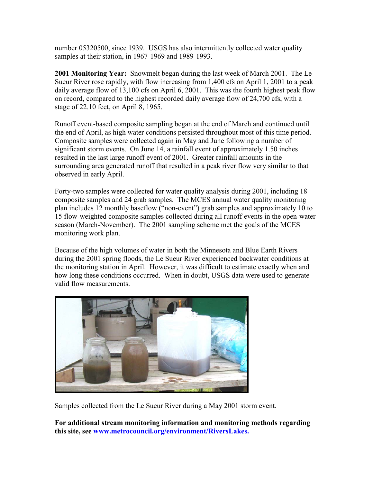number 05320500, since 1939. USGS has also intermittently collected water quality samples at their station, in 1967-1969 and 1989-1993.

**2001 Monitoring Year:** Snowmelt began during the last week of March 2001. The Le Sueur River rose rapidly, with flow increasing from 1,400 cfs on April 1, 2001 to a peak daily average flow of 13,100 cfs on April 6, 2001. This was the fourth highest peak flow on record, compared to the highest recorded daily average flow of 24,700 cfs, with a stage of 22.10 feet, on April 8, 1965.

Runoff event-based composite sampling began at the end of March and continued until the end of April, as high water conditions persisted throughout most of this time period. Composite samples were collected again in May and June following a number of significant storm events. On June 14, a rainfall event of approximately 1.50 inches resulted in the last large runoff event of 2001. Greater rainfall amounts in the surrounding area generated runoff that resulted in a peak river flow very similar to that observed in early April.

Forty-two samples were collected for water quality analysis during 2001, including 18 composite samples and 24 grab samples. The MCES annual water quality monitoring plan includes 12 monthly baseflow ("non-event") grab samples and approximately 10 to 15 flow-weighted composite samples collected during all runoff events in the open-water season (March-November). The 2001 sampling scheme met the goals of the MCES monitoring work plan.

Because of the high volumes of water in both the Minnesota and Blue Earth Rivers during the 2001 spring floods, the Le Sueur River experienced backwater conditions at the monitoring station in April. However, it was difficult to estimate exactly when and how long these conditions occurred. When in doubt, USGS data were used to generate valid flow measurements.



Samples collected from the Le Sueur River during a May 2001 storm event.

**For additional stream monitoring information and monitoring methods regarding this site, see www.metrocouncil.org/environment/RiversLakes.**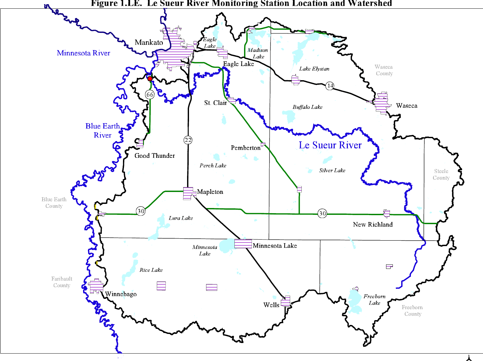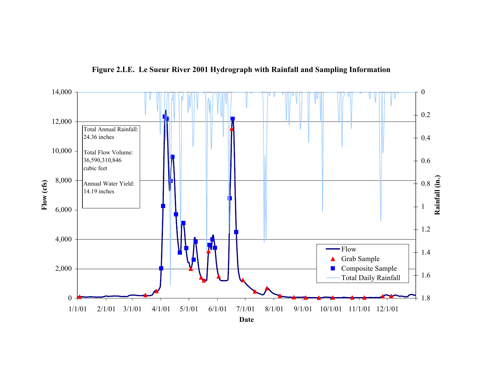

**Figure 2.LE. Le Sueur River 2001 Hydrograph with Rainfall and Sampling Information**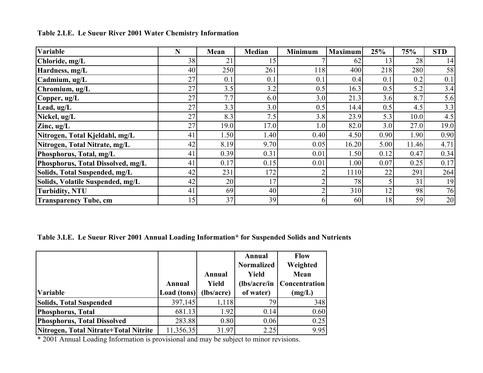| Variable                          | N  | Mean | <b>Median</b> | <b>Minimum</b> | <b>Maximum</b> | 25%  | 75%   | <b>STD</b> |
|-----------------------------------|----|------|---------------|----------------|----------------|------|-------|------------|
| Chloride, mg/L                    | 38 | 21   | 15            |                | 62             | 13   | 28    | 14         |
| Hardness, mg/L                    | 40 | 250  | 261           | 118            | 400            | 218  | 280   | 58         |
| Cadmium, ug/L                     | 27 | 0.1  | 0.1           | $0$ .          | 0.4            | 0.1  | 0.2   | 0.1        |
| Chromium, ug/L                    | 27 | 3.5  | 3.2           | 0.5            | 16.3           | 0.5  | 5.2   | 3.4        |
| Copper, ug/L                      | 27 | 7.7  | 6.0           | 3.0            | 21.3           | 3.6  | 8.7   | 5.6        |
| Lead, $ug/L$                      | 27 | 3.3  | 3.0           | 0.5            | 14.4           | 0.5  | 4.5   | 3.3        |
| Nickel, ug/L                      | 27 | 8.3  | 7.5           | 3.8            | 23.9           | 5.3  | 10.0  | 4.5        |
| $\mathbf Z$ inc, ug/ $\mathbf L$  | 27 | 19.0 | 17.0          | 1.0            | 82.0           | 3.0  | 27.0  | 19.0       |
| Nitrogen, Total Kjeldahl, mg/L    | 41 | 1.50 | 1.40          | 0.40           | 4.50           | 0.90 | 1.90  | 0.90       |
| Nitrogen, Total Nitrate, mg/L     | 42 | 8.19 | 9.70          | 0.05           | 16.20          | 5.00 | 11.46 | 4.71       |
| Phosphorus, Total, mg/L           | 41 | 0.39 | 0.31          | 0.01           | 1.50           | 0.12 | 0.47  | 0.34       |
| Phosphorus, Total Dissolved, mg/L | 41 | 0.17 | 0.15          | 0.01           | 1.00           | 0.07 | 0.25  | 0.17       |
| Solids, Total Suspended, mg/L     | 42 | 231  | 172           |                | 1110           | 22   | 291   | 264        |
| Solids, Volatile Suspended, mg/L  | 42 | 20   | 17            |                | 78             |      | 31    | 19         |
| <b>Turbidity, NTU</b>             | 41 | 69   | 40            |                | 310            | 12   | 98    | 76         |
| <b>Transparency Tube, cm</b>      | 15 | 37   | 39            |                | 60             | 18   | 59    | 20         |

**Table 2.LE. Le Sueur River 2001 Water Chemistry Information**

# **Table 3.LE. Le Sueur River 2001 Annual Loading Information\* for Suspended Solids and Nutrients**

|                                       |             |              | Annual            | <b>Flow</b>   |
|---------------------------------------|-------------|--------------|-------------------|---------------|
|                                       |             |              | <b>Normalized</b> | Weighted      |
|                                       |             | Annual       | <b>Yield</b>      | Mean          |
|                                       | Annual      | <b>Yield</b> | $(lbs/acre/in$    | Concentration |
| <b>Variable</b>                       | Load (tons) | (lbs/acre)   | of water)         | (mg/L)        |
| <b>Solids, Total Suspended</b>        | 397,145     | 1,118        | 79                | 348           |
| <b>Phosphorus, Total</b>              | 681.13      | 1.92         | 0.14              | 0.60          |
| <b>Phosphorus, Total Dissolved</b>    | 283.88      | 0.80         | 0.06              | 0.25          |
| Nitrogen, Total Nitrate+Total Nitrite | 11,356.35   | 31.97        | 2.25              | 9.95          |

\* 2001 Annual Loading Information is provisional and may be subject to minor revisions.